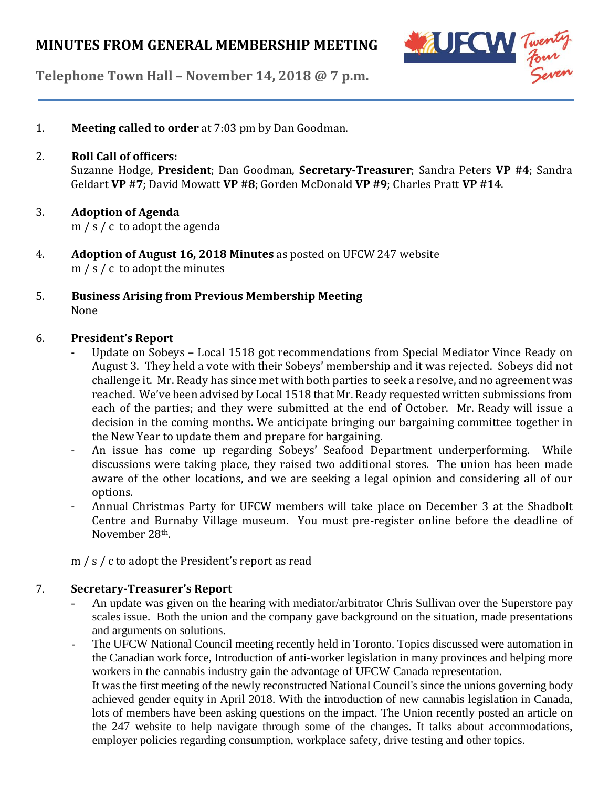# **MINUTES FROM GENERAL MEMBERSHIP MEETING**



**Telephone Town Hall – November 14, 2018 @ 7 p.m.**

- 1. **Meeting called to order** at 7:03 pm by Dan Goodman.
- 2. **Roll Call of officers:** Suzanne Hodge, **President**; Dan Goodman, **Secretary-Treasurer**; Sandra Peters **VP #4**; Sandra Geldart **VP #7**; David Mowatt **VP #8**; Gorden McDonald **VP #9**; Charles Pratt **VP #14**.
- 3. **Adoption of Agenda** m / s / c to adopt the agenda
- 4. **Adoption of August 16, 2018 Minutes** as posted on UFCW 247 website m / s / c to adopt the minutes
- 5. **Business Arising from Previous Membership Meeting** None

#### 6. **President's Report**

- Update on Sobeys Local 1518 got recommendations from Special Mediator Vince Ready on August 3. They held a vote with their Sobeys' membership and it was rejected. Sobeys did not challenge it. Mr. Ready has since met with both parties to seek a resolve, and no agreement was reached. We've been advised by Local 1518 that Mr. Ready requested written submissions from each of the parties; and they were submitted at the end of October. Mr. Ready will issue a decision in the coming months. We anticipate bringing our bargaining committee together in the New Year to update them and prepare for bargaining.
- An issue has come up regarding Sobeys' Seafood Department underperforming. While discussions were taking place, they raised two additional stores. The union has been made aware of the other locations, and we are seeking a legal opinion and considering all of our options.
- Annual Christmas Party for UFCW members will take place on December 3 at the Shadbolt Centre and Burnaby Village museum. You must pre-register online before the deadline of November 28th.

m / s / c to adopt the President's report as read

#### 7. **Secretary-Treasurer's Report**

- An update was given on the hearing with mediator/arbitrator Chris Sullivan over the Superstore pay scales issue. Both the union and the company gave background on the situation, made presentations and arguments on solutions.
- The UFCW National Council meeting recently held in Toronto. Topics discussed were automation in the Canadian work force, Introduction of anti-worker legislation in many provinces and helping more workers in the cannabis industry gain the advantage of UFCW Canada representation.

It was the first meeting of the newly reconstructed National Council's since the unions governing body achieved gender equity in April 2018. With the introduction of new cannabis legislation in Canada, lots of members have been asking questions on the impact. The Union recently posted an article on the 247 website to help navigate through some of the changes. It talks about accommodations, employer policies regarding consumption, workplace safety, drive testing and other topics.